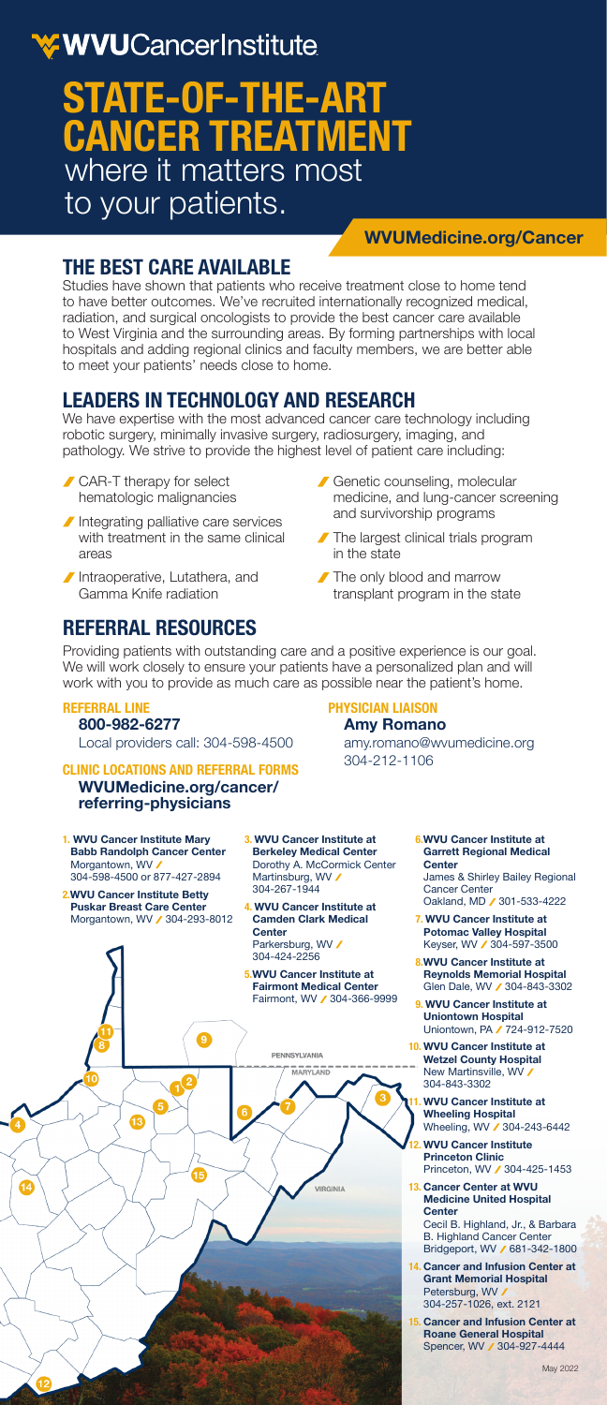# WWUCancerInstitute

# where it matters most to your patients. **STATE-OF-THE-ART CANCER TREATMENT**

### **WVUMedicine.org/Cancer**

# **THE BEST CARE AVAILABLE**

Studies have shown that patients who receive treatment close to home tend to have better outcomes. We've recruited internationally recognized medical, radiation, and surgical oncologists to provide the best cancer care available to West Virginia and the surrounding areas. By forming partnerships with local hospitals and adding regional clinics and faculty members, we are better able to meet your patients' needs close to home.

# **LEADERS IN TECHNOLOGY AND RESEARCH**

We have expertise with the most advanced cancer care technology including robotic surgery, minimally invasive surgery, radiosurgery, imaging, and pathology. We strive to provide the highest level of patient care including:

- CAR-T therapy for select hematologic malignancies
- Integrating palliative care services with treatment in the same clinical areas
- Intraoperative, Lutathera, and Gamma Knife radiation

# **REFERRAL RESOURCES**

Genetic counseling, molecular medicine, and lung-cancer screening and survivorship programs

amy.romano@wvumedicine.org

- The largest clinical trials program in the state
- The only blood and marrow transplant program in the state

**PHYSICIAN LIAISON Amy Romano**

304-212-1106

Providing patients with outstanding care and a positive experience is our goal. We will work closely to ensure your patients have a personalized plan and will work with you to provide as much care as possible near the patient's home.

#### **REFERRAL LINE 800-982-6277**

Local providers call: 304-598-4500

### **CLINIC LOCATIONS AND REFERRAL FORMS WVUMedicine.org/cancer/**

## **referring-physicians**

- **1. WVU Cancer Institute Mary Babb Randolph Cancer Center** Morgantown, WV 304-598-4500 or 877-427-2894
- **2.WVU Cancer Institute Betty Puskar Breast Care Center**<br>Morgantown, WV **/** 304-293-8012
- **3. WVU Cancer Institute at Berkeley Medical Center** Dorothy A. McCormick Center Martinsburg, WV 304-267-1944
- **4. WVU Cancer Institute at Camden Clark Medical Center** Parkersburg, WV 304-424-2256
- **5.WVU Cancer Institute at Fairmont Medical Center** Fairmont, WV 304-366-9999



- **6.WVU Cancer Institute at Garrett Regional Medical Center**  James & Shirley Bailey Regional Cancer Center Oakland, MD / 301-533-4222
- **7. WVU Cancer Institute at Potomac Valley Hospital** Keyser, WV / 304-597-3500
- **8.WVU Cancer Institute at Reynolds Memorial Hospital** Glen Dale, WV / 304-843-3302
- **9. WVU Cancer Institute at Uniontown Hospital** Uniontown, PA / 724-912-7520
- **10. WVU Cancer Institute at Wetzel County Hospital** New Martinsville, WV / 304-843-3302
	- **11. WVU Cancer Institute at Wheeling Hospital** Wheeling, WV / 304-243-6442
- **12. WVU Cancer Institute Princeton Clinic** Princeton, WV / 304-425-1453
- **13. Cancer Center at WVU Medicine United Hospital Center**<br>Cecil B. Highland, Jr., & Barbara<br>B. Highland Cancer Center Bridgeport, WV / 681-342-1800
- **14. Cancer and Infusion Center at Grant Memorial Hospital** Petersburg, WV 304-257-1026, ext. 2121
- **15. Cancer and Infusion Center at Roane General Hospital**<br>Spencer, WV **∕** 304-927-4444